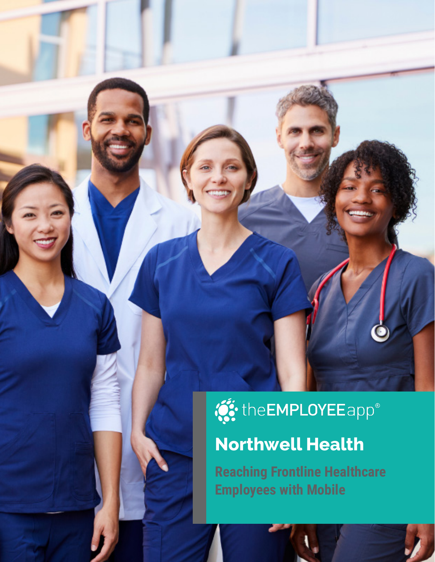# **O:** the EMPLOYEE app<sup>®</sup>

# **Northwell Health**

**Reaching Frontline Healthcare Employees with Mobile**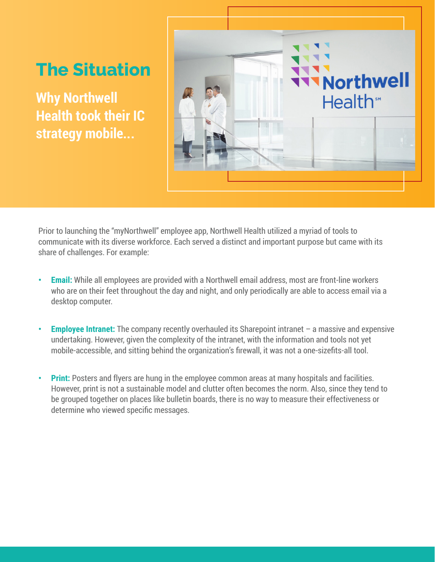## **The Situation**

**Why Northwell Health took their IC strategy mobile...**



Prior to launching the "myNorthwell" employee app, Northwell Health utilized a myriad of tools to communicate with its diverse workforce. Each served a distinct and important purpose but came with its share of challenges. For example:

- **• Email:** While all employees are provided with a Northwell email address, most are front-line workers who are on their feet throughout the day and night, and only periodically are able to access email via a desktop computer.
- **Employee Intranet:** The company recently overhauled its Sharepoint intranet a massive and expensive undertaking. However, given the complexity of the intranet, with the information and tools not yet mobile-accessible, and sitting behind the organization's firewall, it was not a one-sizefits-all tool.
- **Print:** Posters and flyers are hung in the employee common areas at many hospitals and facilities. However, print is not a sustainable model and clutter often becomes the norm. Also, since they tend to be grouped together on places like bulletin boards, there is no way to measure their effectiveness or determine who viewed specific messages.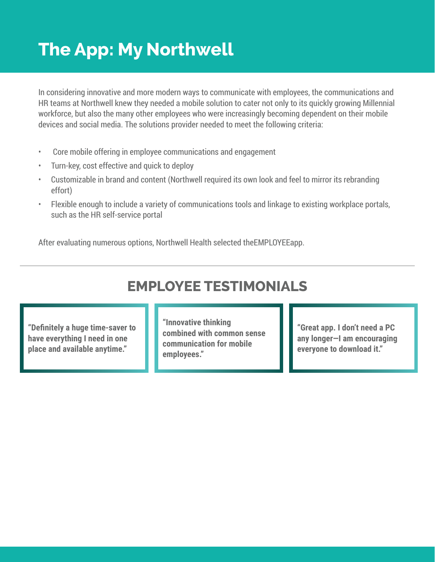## **The App: My Northwell**

In considering innovative and more modern ways to communicate with employees, the communications and HR teams at Northwell knew they needed a mobile solution to cater not only to its quickly growing Millennial workforce, but also the many other employees who were increasingly becoming dependent on their mobile devices and social media. The solutions provider needed to meet the following criteria:

- Core mobile offering in employee communications and engagement
- Turn-key, cost effective and quick to deploy
- Customizable in brand and content (Northwell required its own look and feel to mirror its rebranding effort)
- Flexible enough to include a variety of communications tools and linkage to existing workplace portals, such as the HR self-service portal

After evaluating numerous options, Northwell Health selected theEMPLOYEEapp.

#### **EMPLOYEE TESTIMONIALS**

**"Definitely a huge time-saver to have everything I need in one place and available anytime."**

**"Innovative thinking combined with common sense communication for mobile employees."**

**"Great app. I don't need a PC any longer—I am encouraging everyone to download it."**